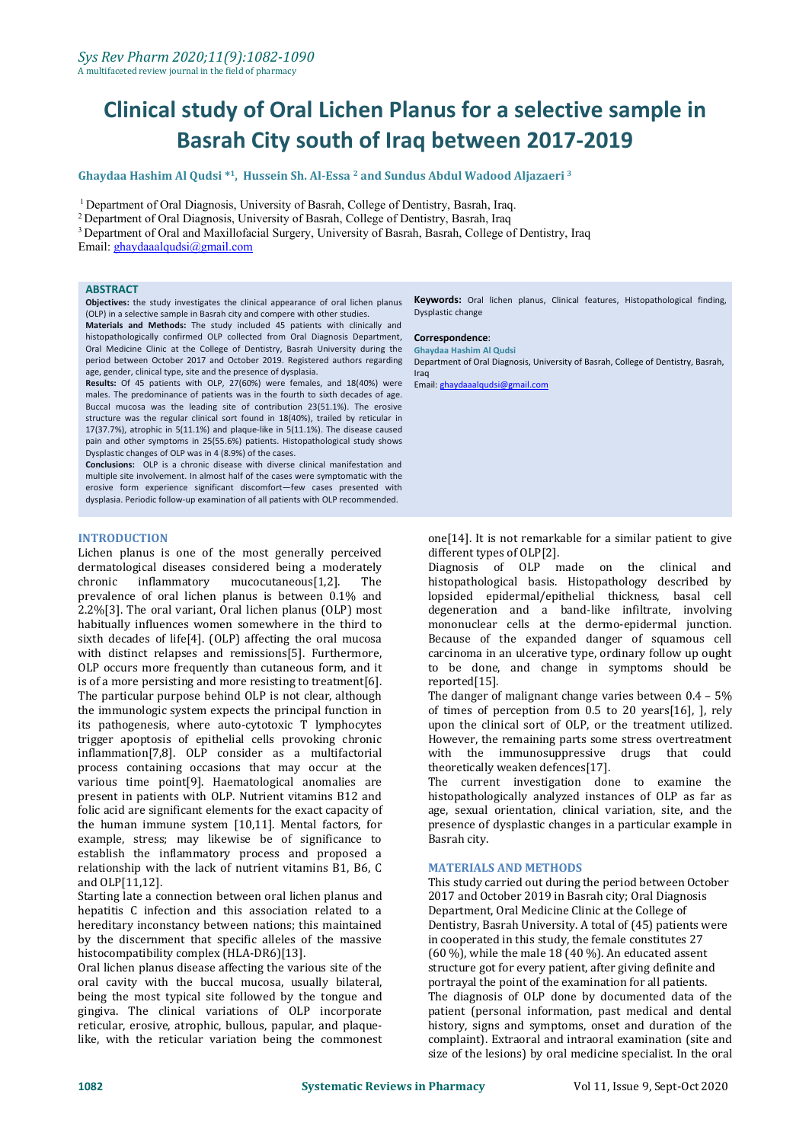**Ghaydaa Hashim Al Qudsi \* 1 , Hussein Sh. Al-Essa <sup>2</sup> and Sundus Abdul Wadood Aljazaeri <sup>3</sup>**

<sup>1</sup> Department of Oral Diagnosis, University of Basrah, College of Dentistry, Basrah, Iraq.

<sup>2</sup> Department of Oral Diagnosis, University of Basrah, College of Dentistry, Basrah, Iraq

<sup>3</sup> Department of Oral and Maxillofacial Surgery, University of Basrah, Basrah, College of Dentistry, Iraq

Email: [ghaydaaalqudsi@gmail.com](mailto:ghaydaaalqudsi@gmail.com)

#### **ABSTRACT**

**Objectives:** the study investigates the clinical appearance of oral lichen planus (OLP) in a selective sample in Basrah city and compere with other studies.

**Materials and Methods:** The study included 45 patients with clinically and histopathologically confirmed OLP collected from Oral Diagnosis Department, Oral Medicine Clinic at the College of Dentistry, Basrah University during the period between October 2017 and October 2019. Registered authors regarding age, gender, clinical type, site and the presence of dysplasia.

**Results:** Of 45 patients with OLP, 27(60%) were females, and 18(40%) were males. The predominance of patients was in the fourth to sixth decades of age. Buccal mucosa was the leading site of contribution 23(51.1%). The erosive structure was the regular clinical sort found in 18(40%), trailed by reticular in 17(37.7%), atrophic in 5(11.1%) and plaque-like in 5(11.1%). The disease caused pain and other symptoms in 25(55.6%) patients. Histopathological study shows Dysplastic changes of OLP was in 4 (8.9%) of the cases.

**Conclusions:** OLP is a chronic disease with diverse clinical manifestation and multiple site involvement. In almost half of the cases were symptomatic with the erosive form experience significant discomfort—few cases presented with dysplasia. Periodic follow-up examination of all patients with OLP recommended.

#### **INTRODUCTION**

Lichen planus is one of the most generally perceived dermatological diseases considered being a moderately<br>chronic inflammatory mucocutaneous[1,2]. The  $mucocutaneous[1,2]$ . prevalence of oral lichen planus is between 0.1% and 2.2%[3]. The oral variant, Oral lichen planus (OLP) most habitually influences women somewhere in the third to sixth decades of life[4]. (OLP) affecting the oral mucosa with distinct relapses and remissions[5]. Furthermore, OLP occurs more frequently than cutaneous form, and it is of a more persisting and more resisting to treatment[6]. The particular purpose behind OLP is not clear, although the immunologic system expects the principal function in its pathogenesis, where auto-cytotoxic T lymphocytes trigger apoptosis of epithelial cells provoking chronic inflammation[7,8]. OLP consider as a multifactorial process containing occasions that may occur at the various time point[9]. Haematological anomalies are present in patients with OLP. Nutrient vitamins B12 and folic acid are significant elements for the exact capacity of the human immune system [10,11]. Mental factors, for example, stress; may likewise be of significance to establish the inflammatory process and proposed a relationship with the lack of nutrient vitamins B1, B6, C and OLP[11,12].

Starting late a connection between oral lichen planus and hepatitis C infection and this association related to a hereditary inconstancy between nations; this maintained by the discernment that specific alleles of the massive histocompatibility complex (HLA-DR6)[13].

Oral lichen planus disease affecting the various site of the oral cavity with the buccal mucosa, usually bilateral, being the most typical site followed by the tongue and gingiva. The clinical variations of OLP incorporate reticular, erosive, atrophic, bullous, papular, and plaquelike, with the reticular variation being the commonest **Keywords:** Oral lichen planus, Clinical features, Histopathological finding, Dysplastic change

#### **Correspondence**:

**Ghaydaa Hashim Al Qudsi**

Department of Oral Diagnosis, University of Basrah, College of Dentistry, Basrah, Iraq

Email: [ghaydaaalqudsi@gmail.com](mailto:ghaydaaalqudsi@gmail.com)

 $one[14]$ . It is not remarkable for a similar patient to give different types of OLP[2].

Diagnosis of OLP made on the clinical and histopathological basis. Histopathology described by lopsided epidermal/epithelial thickness, basal cell degeneration and a band-like infiltrate, involving mononuclear cells at the dermo-epidermal junction. Because of the expanded danger of squamous cell carcinoma in an ulcerative type, ordinary follow up ought to be done, and change in symptoms should be reported[15].

The danger of malignant change varies between 0.4 – 5% of times of perception from 0.5 to 20 years[16], ], rely upon the clinical sort of OLP, or the treatment utilized. However, the remaining parts some stress overtreatment with the immunosuppressive drugs that could theoretically weaken defences[17].

The current investigation done to examine the histopathologically analyzed instances of OLP as far as age, sexual orientation, clinical variation, site, and the presence of dysplastic changes in a particular example in Basrah city.

#### **MATERIALS AND METHODS**

This study carried out during the period between October 2017 and October 2019 in Basrah city; Oral Diagnosis Department, Oral Medicine Clinic at the College of Dentistry, Basrah University. A total of (45) patients were in cooperated in this study, the female constitutes 27 (60 %), while the male 18 (40 %). An educated assent structure got for every patient, after giving definite and portrayal the point of the examination for all patients. The diagnosis of OLP done by documented data of the patient (personal information, past medical and dental history, signs and symptoms, onset and duration of the complaint). Extraoral and intraoral examination (site and size of the lesions) by oral medicine specialist. In the oral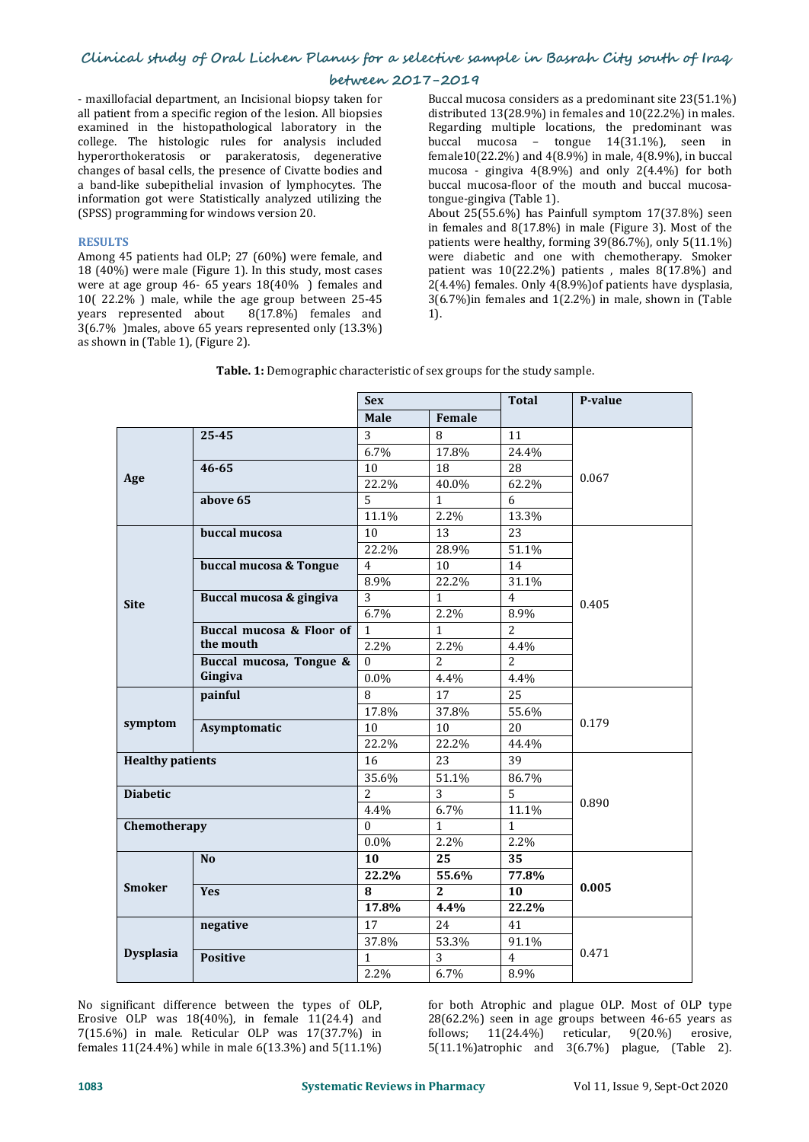### **between 2017-2019**

- maxillofacial department, an Incisional biopsy taken for all patient from a specific region of the lesion. All biopsies examined in the histopathological laboratory in the college. The histologic rules for analysis included hyperorthokeratosis or parakeratosis, degenerative changes of basal cells, the presence of Civatte bodies and a band-like subepithelial invasion of lymphocytes. The information got were Statistically analyzed utilizing the (SPSS) programming for windows version 20.

#### **RESULTS**

Among 45 patients had OLP; 27 (60%) were female, and 18 (40%) were male (Figure 1). In this study, most cases were at age group 46- 65 years 18(40% ) females and 10( 22.2% ) male, while the age group between 25-45 years represented about 8(17.8%) females and 3(6.7% )males, above 65 years represented only (13.3%) as shown in (Table 1), (Figure 2).

Buccal mucosa considers as a predominant site 23(51.1%) distributed 13(28.9%) in females and 10(22.2%) in males. Regarding multiple locations, the predominant was buccal mucosa – tongue 14(31.1%), seen in female10(22.2%) and 4(8.9%) in male, 4(8.9%), in buccal mucosa - gingiva 4(8.9%) and only 2(4.4%) for both buccal mucosa-floor of the mouth and buccal mucosa tongue-gingiva (Table 1). About 25(55.6%) has Painfull symptom 17(37.8%) seen in females and 8(17.8%) in male (Figure 3). Most of the patients were healthy, forming 39(86.7%), only 5(11.1%) were diabetic and one with chemotherapy. Smoker patient was 10(22.2%) patients , males 8(17.8%) and 2(4.4%) females. Only 4(8.9%)of patients have dysplasia,

3(6.7%)in females and 1(2.2%) in male, shown in (Table

|                         |                          | <b>Sex</b>     |                  | <b>Total</b>   | P-value |
|-------------------------|--------------------------|----------------|------------------|----------------|---------|
|                         |                          | Male           | Female           |                |         |
|                         | 25-45                    | 3              | 8                | 11             |         |
|                         |                          | 6.7%           | 17.8%            | 24.4%          |         |
|                         | $46 - 65$                | $10\,$         | 18               | 28             |         |
| Age                     |                          | 22.2%          | 40.0%            | 62.2%          | 0.067   |
|                         | above 65                 | 5              | $\mathbf{1}$     | 6              |         |
|                         |                          | 11.1%          | 2.2%             | 13.3%          |         |
|                         | buccal mucosa            | 10             | 13               | 23             |         |
|                         |                          | 22.2%          | 28.9%            | 51.1%          |         |
|                         | buccal mucosa & Tongue   | $\overline{4}$ | 10               | 14             |         |
|                         |                          | 8.9%           | 22.2%            | 31.1%          |         |
| <b>Site</b>             | Buccal mucosa & gingiva  | 3              | $\mathbf{1}$     | $\overline{4}$ | 0.405   |
|                         |                          | 6.7%           | 2.2%             | 8.9%           |         |
|                         | Buccal mucosa & Floor of | $\mathbf{1}$   | $\mathbf{1}$     | $\overline{2}$ |         |
|                         | the mouth                | 2.2%           | 2.2%             | 4.4%           |         |
|                         | Buccal mucosa, Tongue &  | $\theta$       | $\overline{2}$   | $\overline{2}$ |         |
|                         | Gingiva                  | 0.0%           | 4.4%             | 4.4%           |         |
|                         | painful                  | 8              | 17               | 25             |         |
|                         |                          | 17.8%          | 37.8%            | 55.6%          |         |
| symptom                 | Asymptomatic             | 10             | 10               | 20             | 0.179   |
|                         |                          | 22.2%          | 22.2%            | 44.4%          |         |
| <b>Healthy patients</b> |                          | 16             | 23               | 39             |         |
|                         |                          | 35.6%          | 51.1%            | 86.7%          |         |
| <b>Diabetic</b>         |                          | $\overline{2}$ | 3                | 5              |         |
|                         |                          | 4.4%           | 6.7%             | 11.1%          | 0.890   |
| Chemotherapy            |                          | $\Omega$       | $\mathbf{1}$     | $\mathbf{1}$   |         |
|                         |                          | $0.0\%$        | 2.2%             | 2.2%           |         |
|                         | N <sub>0</sub>           | 10             | 25               | 35             |         |
|                         |                          | 22.2%          | 55.6%            | 77.8%          |         |
| <b>Smoker</b>           | <b>Yes</b>               | 8              | $\boldsymbol{2}$ | 10             | 0.005   |
|                         |                          | 17.8%          | 4.4%             | 22.2%          |         |
|                         | negative                 | 17             | 24               | 41             |         |
|                         |                          | 37.8%          | 53.3%            | 91.1%          |         |
| <b>Dysplasia</b>        | <b>Positive</b>          | $\mathbf{1}$   | 3                | $\overline{4}$ | 0.471   |
|                         |                          | 2.2%           | 6.7%             | 8.9%           |         |

**Table. 1:** Demographic characteristic of sex groups for the study sample.

1).

No significant difference between the types of OLP, Erosive OLP was 18(40%), in female 11(24.4) and 7(15.6%) in male. Reticular OLP was 17(37.7%) in females 11(24.4%) while in male 6(13.3%) and 5(11.1%)

for both Atrophic and plague OLP. Most of OLP type 28(62.2%) seen in age groups between 46-65 years as follows; 11(24.4%) reticular, 9(20.%) erosive, 5(11.1%)atrophic and 3(6.7%) plague, (Table 2).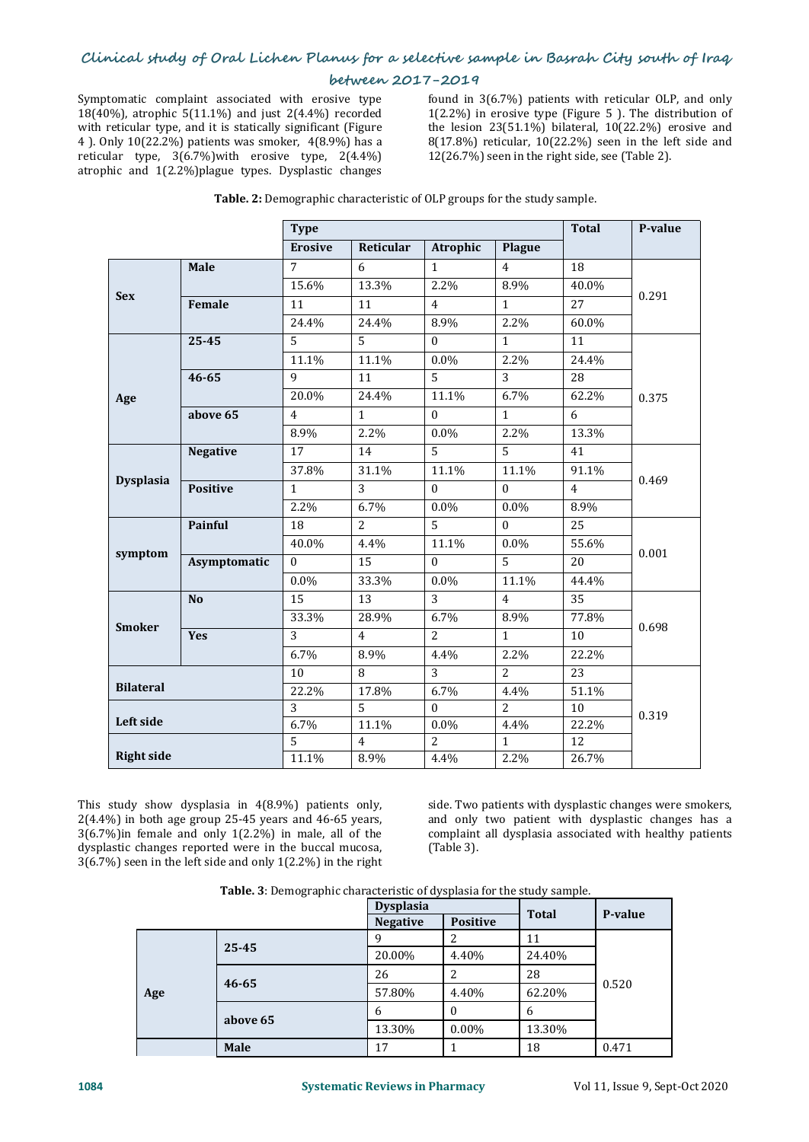Symptomatic complaint associated with erosive type 18(40%), atrophic 5(11.1%) and just 2(4.4%) recorded with reticular type, and it is statically significant (Figure 4 ). Only 10(22.2%) patients was smoker, 4(8.9%) has a reticular type, 3(6.7%)with erosive type, 2(4.4%) atrophic and 1(2.2%)plague types. Dysplastic changes

found in 3(6.7%) patients with reticular OLP, and only 1(2.2%) in erosive type (Figure 5 ). The distribution of the lesion 23(51.1%) bilateral, 10(22.2%) erosive and 8(17.8%) reticular, 10(22.2%) seen in the left side and 12(26.7%) seen in the right side, see (Table 2).

|                   |                 | <b>Type</b>     |                |                 |                | <b>Total</b>    | P-value |  |
|-------------------|-----------------|-----------------|----------------|-----------------|----------------|-----------------|---------|--|
|                   |                 | <b>Erosive</b>  | Reticular      | <b>Atrophic</b> | Plague         |                 |         |  |
| <b>Sex</b>        | Male            | $\overline{7}$  | 6              | $\mathbf{1}$    | $\overline{4}$ | $\overline{18}$ |         |  |
|                   |                 | 15.6%           | 13.3%          | 2.2%            | 8.9%           | 40.0%           | 0.291   |  |
|                   | Female          | 11              | 11             | $\overline{4}$  | $\mathbf{1}$   | 27              |         |  |
|                   |                 | 24.4%           | 24.4%          | 8.9%            | 2.2%           | 60.0%           |         |  |
|                   | 25-45           | 5               | $\overline{5}$ | $\Omega$        | $\mathbf{1}$   | 11              |         |  |
|                   |                 | 11.1%           | 11.1%          | $0.0\%$         | 2.2%           | 24.4%           |         |  |
|                   | $46 - 65$       | 9               | 11             | $\overline{5}$  | 3              | 28              |         |  |
| Age               |                 | 20.0%           | 24.4%          | 11.1%           | 6.7%           | 62.2%           | 0.375   |  |
|                   | above 65        | $\overline{4}$  | $\mathbf{1}$   | $\Omega$        | $\mathbf{1}$   | 6               |         |  |
|                   |                 | 8.9%            | 2.2%           | $0.0\%$         | 2.2%           | 13.3%           |         |  |
|                   | <b>Negative</b> | 17              | 14             | $\overline{5}$  | $\overline{5}$ | 41              | 0.469   |  |
|                   |                 | 37.8%           | 31.1%          | 11.1%           | 11.1%          | 91.1%           |         |  |
| <b>Dysplasia</b>  | <b>Positive</b> | $\mathbf{1}$    | 3              | $\Omega$        | $\mathbf{0}$   | $\overline{4}$  |         |  |
|                   |                 | 2.2%            | 6.7%           | $0.0\%$         | $0.0\%$        | 8.9%            |         |  |
|                   | Painful         | $\overline{18}$ | $\overline{2}$ | $\overline{5}$  | $\mathbf{0}$   | 25              | 0.001   |  |
|                   |                 | 40.0%           | 4.4%           | 11.1%           | $0.0\%$        | 55.6%           |         |  |
| symptom           | Asymptomatic    | $\theta$        | 15             | $\Omega$        | $\overline{5}$ | 20              |         |  |
|                   |                 | $0.0\%$         | 33.3%          | $0.0\%$         | 11.1%          | 44.4%           |         |  |
|                   | N <sub>o</sub>  | 15              | 13             | $\overline{3}$  | $\overline{4}$ | 35              | 0.698   |  |
| <b>Smoker</b>     |                 | 33.3%           | 28.9%          | 6.7%            | 8.9%           | 77.8%           |         |  |
|                   | <b>Yes</b>      | 3               | $\overline{4}$ | $\overline{2}$  | $\mathbf{1}$   | 10              |         |  |
|                   |                 | 6.7%            | 8.9%           | 4.4%            | 2.2%           | 22.2%           |         |  |
|                   |                 | 10              | 8              | $\overline{3}$  | $\overline{2}$ | 23              | 0.319   |  |
| <b>Bilateral</b>  |                 | 22.2%           | 17.8%          | 6.7%            | 4.4%           | 51.1%           |         |  |
| Left side         |                 | 3               | $\overline{5}$ | $\Omega$        | 2              | 10              |         |  |
|                   |                 | 6.7%            | 11.1%          | $0.0\%$         | 4.4%           | 22.2%           |         |  |
| <b>Right side</b> |                 | 5               | $\overline{4}$ | 2               | $\mathbf{1}$   | 12              |         |  |
|                   |                 | 11.1%           | 8.9%           | 4.4%            | 2.2%           | 26.7%           |         |  |

| <b>Table. 2:</b> Demographic characteristic of OLP groups for the study sample. |  |
|---------------------------------------------------------------------------------|--|
|---------------------------------------------------------------------------------|--|

This study show dysplasia in 4(8.9%) patients only, 2(4.4%) in both age group 25-45 years and 46-65 years, 3(6.7%)in female and only 1(2.2%) in male, all of the dysplastic changes reported were in the buccal mucosa, 3(6.7%) seen in the left side and only 1(2.2%) in the right

side. Two patients with dysplastic changes were smokers, and only two patient with dysplastic changes has a complaint all dysplasia associated with healthy patients (Table 3).

| <b>Table. 3</b> : Demographic characteristic of dysplasia for the study sample. |  |
|---------------------------------------------------------------------------------|--|
|                                                                                 |  |

|     |           | <b>Dysplasia</b> |                 | <b>Total</b> |         |  |
|-----|-----------|------------------|-----------------|--------------|---------|--|
|     |           | <b>Negative</b>  | <b>Positive</b> |              | P-value |  |
| Age | 25-45     |                  |                 | 11           |         |  |
|     |           | 20.00%           | 4.40%           | 24.40%       | 0.520   |  |
|     | $46 - 65$ | 26               |                 | 28           |         |  |
|     |           | 57.80%           | 4.40%           | 62.20%       |         |  |
|     | above 65  | <sub>b</sub>     |                 | b            |         |  |
|     |           | 13.30%           | $0.00\%$        | 13.30%       |         |  |
|     | Male      | 17               |                 | 18           | 0.471   |  |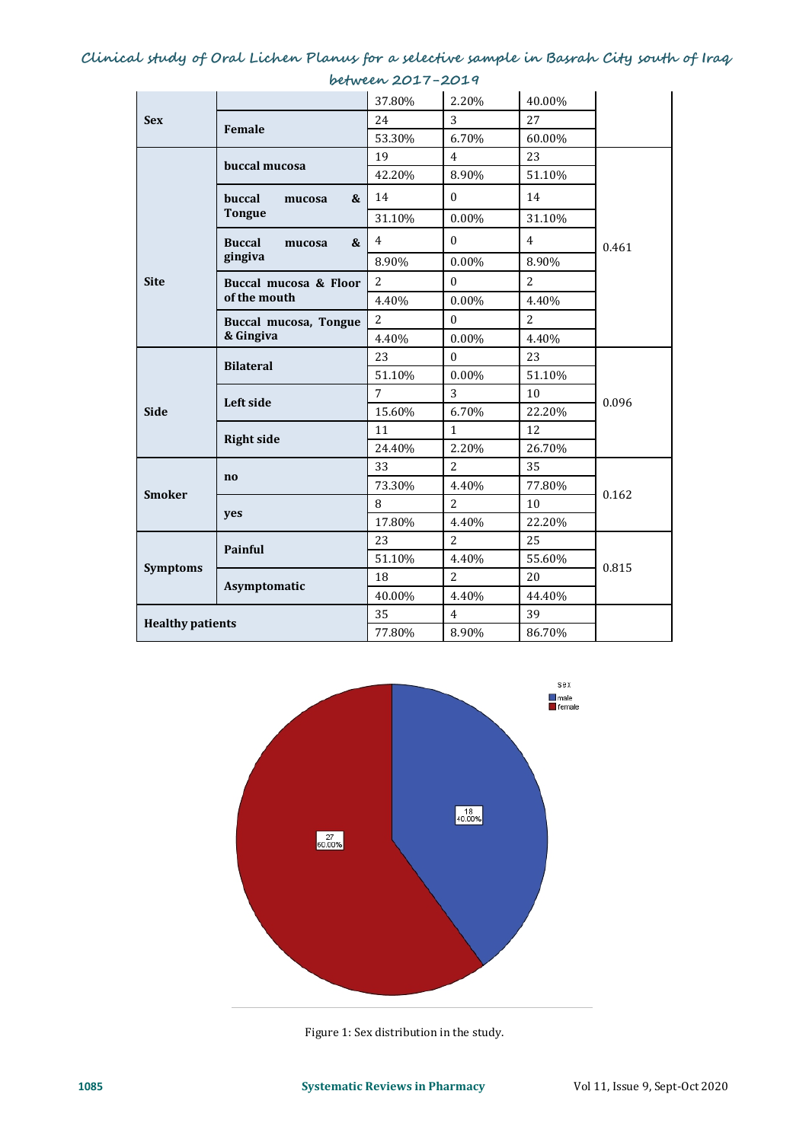|                         |                                        | 37.80%         | 2.20%            | 40.00%         |       |
|-------------------------|----------------------------------------|----------------|------------------|----------------|-------|
| <b>Sex</b>              | Female                                 | 24             | 3                | 27             |       |
|                         |                                        | 53.30%         | 6.70%            | 60.00%         |       |
|                         | buccal mucosa                          | 19             | $\overline{4}$   | 23             |       |
|                         |                                        | 42.20%         | 8.90%            | 51.10%         |       |
|                         | buccal<br>&<br>mucosa<br><b>Tongue</b> | 14             | $\mathbf{0}$     | 14             |       |
|                         |                                        | 31.10%         | 0.00%            | 31.10%         |       |
|                         | <b>Buccal</b><br>&<br>mucosa           | $\overline{4}$ | $\Omega$         | $\overline{4}$ | 0.461 |
|                         | gingiva                                | 8.90%          | 0.00%            | 8.90%          |       |
| <b>Site</b>             | Buccal mucosa & Floor<br>of the mouth  | $\overline{2}$ | $\boldsymbol{0}$ | 2              |       |
|                         |                                        | 4.40%          | 0.00%            | 4.40%          |       |
|                         | Buccal mucosa, Tongue<br>& Gingiva     | $\overline{2}$ | $\mathbf{0}$     | $\overline{2}$ |       |
|                         |                                        | 4.40%          | 0.00%            | 4.40%          |       |
|                         | <b>Bilateral</b>                       | 23             | $\mathbf{0}$     | 23             | 0.096 |
|                         |                                        | 51.10%         | 0.00%            | 51.10%         |       |
|                         | Left side                              | $\overline{7}$ | 3                | 10             |       |
| <b>Side</b>             |                                        | 15.60%         | 6.70%            | 22.20%         |       |
|                         | <b>Right side</b>                      | 11             | $\mathbf 1$      | 12             |       |
|                         |                                        | 24.40%         | 2.20%            | 26.70%         |       |
|                         | $\mathbf{no}$                          | 33             | $\overline{2}$   | 35             | 0.162 |
| <b>Smoker</b>           |                                        | 73.30%         | 4.40%            | 77.80%         |       |
|                         | yes                                    | 8              | $\overline{2}$   | 10             |       |
|                         |                                        | 17.80%         | 4.40%            | 22.20%         |       |
|                         | Painful                                | 23             | $\overline{2}$   | 25             | 0.815 |
| <b>Symptoms</b>         |                                        | 51.10%         | 4.40%            | 55.60%         |       |
|                         | Asymptomatic                           | 18             | $\overline{2}$   | 20             |       |
|                         |                                        | 40.00%         | 4.40%            | 44.40%         |       |
| <b>Healthy patients</b> |                                        | 35             | $\overline{4}$   | 39             |       |
|                         |                                        | 77.80%         | 8.90%            | 86.70%         |       |





Figure 1: Sex distribution in the study.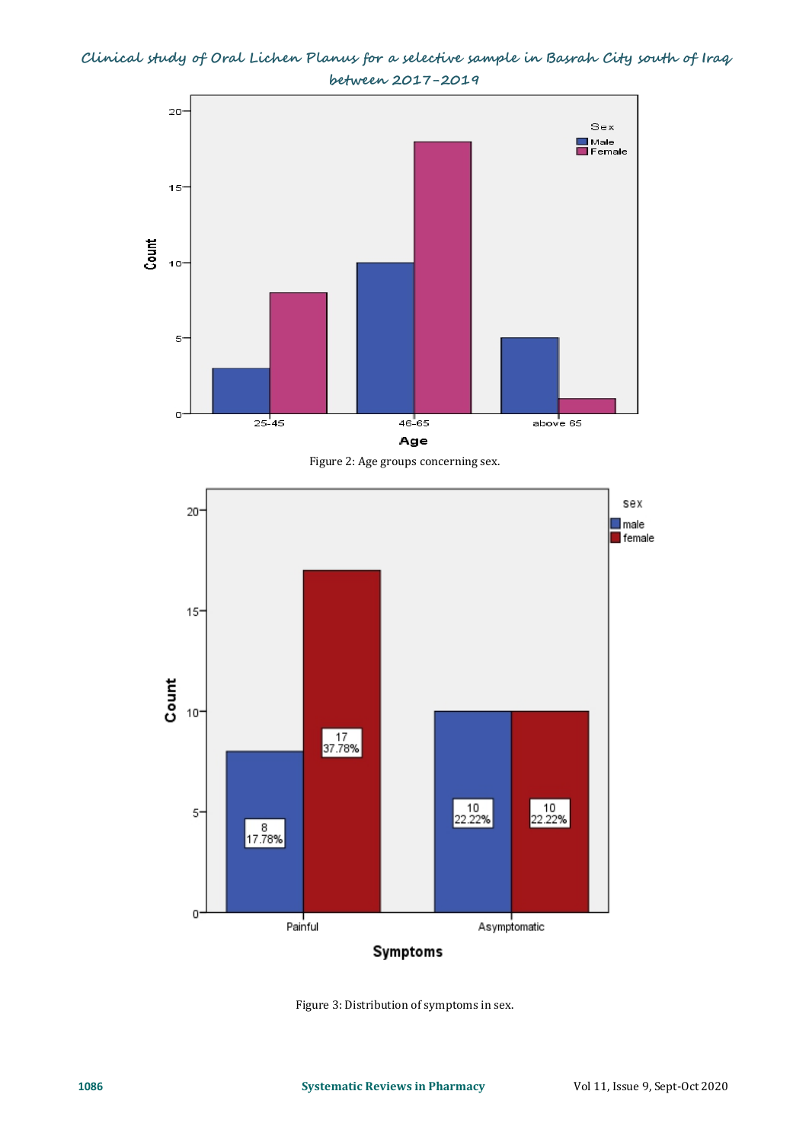

Figure 2: Age groups concerning sex.



Figure 3: Distribution of symptoms in sex.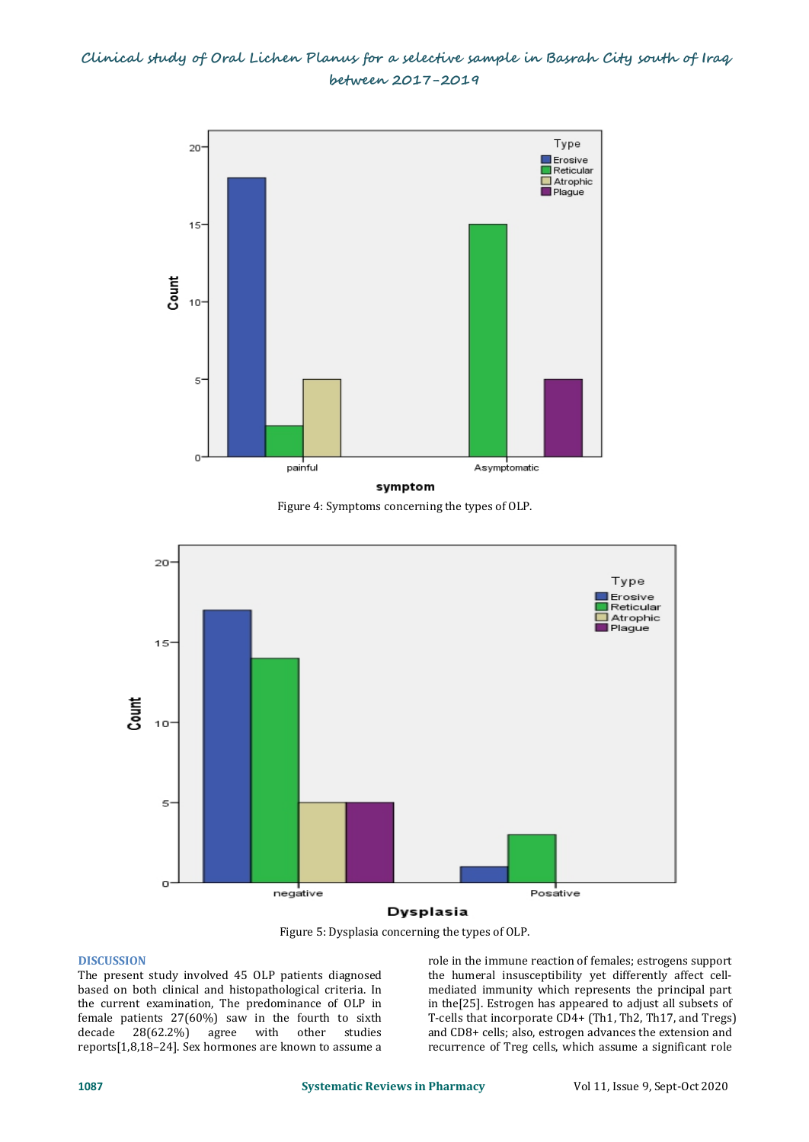

Figure 4: Symptoms concerning the types of OLP.



### Dysplasia

Figure 5: Dysplasia concerning the types of OLP.

### **DISCUSSION**

The present study involved 45 OLP patients diagnosed based on both clinical and histopathological criteria. In the current examination, The predominance of OLP in female patients  $27(60\%)$  saw in the fourth to sixth decade  $28(62.2\%)$  agree with other studies agree with other reports[1,8,18–24]. Sex hormones are known to assume a role in the immune reaction of females; estrogens support the humeral insusceptibility yet differently affect cell mediated immunity which represents the principal part in the[25]. Estrogen has appeared to adjust all subsets of T-cells that incorporate CD4+ (Th1, Th2, Th17, and Tregs) and CD8+ cells; also, estrogen advances the extension and recurrence of Treg cells, which assume a significant role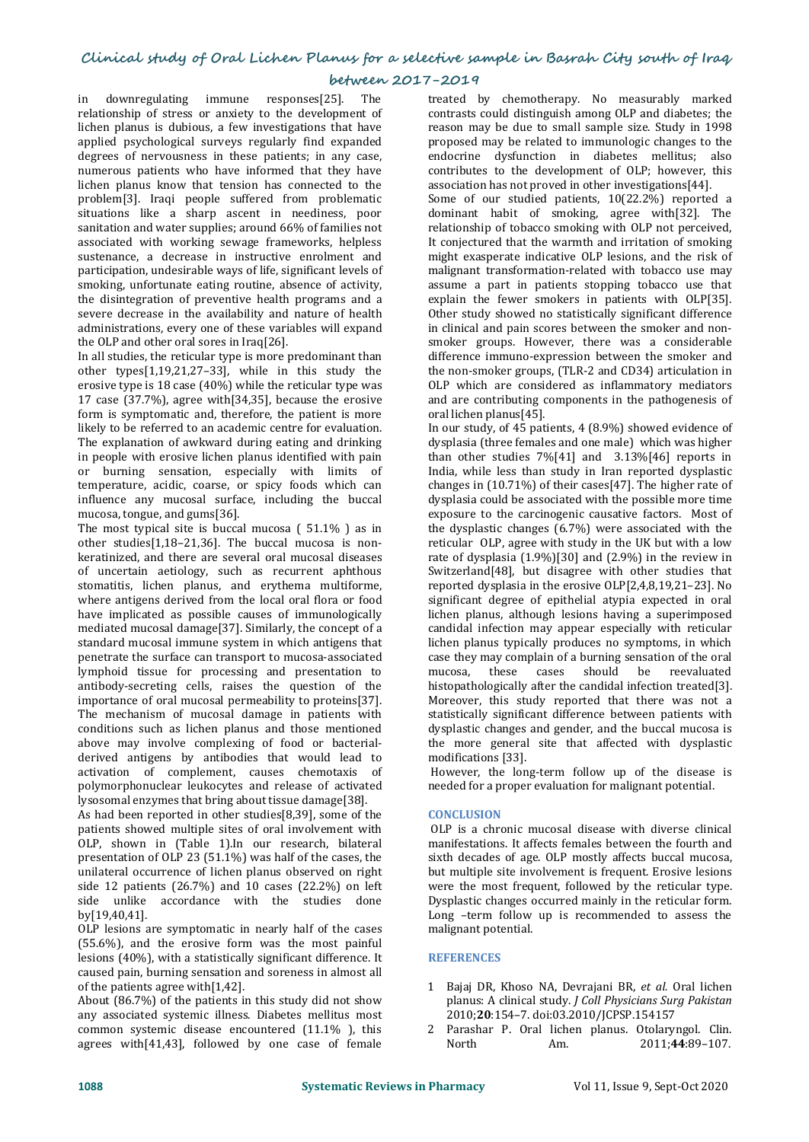### **between 2017-2019**

in downregulating immune responses[25]. The relationship of stress or anxiety to the development of lichen planus is dubious, a few investigations that have applied psychological surveys regularly find expanded degrees of nervousness in these patients; in any case, numerous patients who have informed that they have lichen planus know that tension has connected to the problem[3]. Iraqi people suffered from problematic situations like a sharp ascent in neediness, poor sanitation and water supplies; around 66% of families not associated with working sewage frameworks, helpless sustenance, a decrease in instructive enrolment and participation, undesirable ways of life, significant levels of smoking, unfortunate eating routine, absence of activity, the disintegration of preventive health programs and a severe decrease in the availability and nature of health administrations, every one of these variables will expand the OLP and other oral sores in Iraq[26].

In all studies, the reticular type is more predominant than other types[1,19,21,27–33], while in this study the erosive type is 18 case (40%) while the reticular type was 17 case (37.7%), agree with[34,35], because the erosive form is symptomatic and, therefore, the patient is more likely to be referred to an academic centre for evaluation. The explanation of awkward during eating and drinking in people with erosive lichen planus identified with pain or burning sensation, especially with limits of temperature, acidic, coarse, or spicy foods which can influence any mucosal surface, including the buccal mucosa, tongue, and gums[36].

The most typical site is buccal mucosa  $(51.1\%)$  as in other studies[1,18–21,36]. The buccal mucosa is non keratinized, and there are several oral mucosal diseases of uncertain aetiology, such as recurrent aphthous stomatitis, lichen planus, and erythema multiforme, where antigens derived from the local oral flora or food have implicated as possible causes of immunologically mediated mucosal damage[37]. Similarly, the concept of a standard mucosal immune system in which antigens that penetrate the surface can transport to mucosa-associated case they may con<br>lymphoid tissue for processing and presentation to mucosa, these lymphoid tissue for processing and presentation to antibody-secreting cells, raises the question of the importance of oral mucosal permeability to proteins[37]. The mechanism of mucosal damage in patients with conditions such as lichen planus and those mentioned above may involve complexing of food or bacterial derived antigens by antibodies that would lead to activation of complement, causes chemotaxis of polymorphonuclear leukocytes and release of activated lysosomal enzymes that bring about tissue damage[38].

As had been reported in other studies[8,39], some of the patients showed multiple sites of oral involvement with OLP, shown in (Table 1).In our research, bilateral presentation of OLP 23 (51.1%) was half of the cases, the unilateral occurrence of lichen planus observed on right side 12 patients (26.7%) and 10 cases (22.2%) on left side unlike accordance with the studies done by[19,40,41].

OLP lesions are symptomatic in nearly half of the cases (55.6%), and the erosive form was the most painful lesions (40%), with a statistically significant difference. It caused pain, burning sensation and soreness in almost all of the patients agree with[1,42].

About (86.7%) of the patients in this study did not show any associated systemic illness. Diabetes mellitus most common systemic disease encountered (11.1% ), this agrees with [41.43], followed by one case of female Morth Am. agrees with[41,43], followed by one case of female

treated by chemotherapy. No measurably marked contrasts could distinguish among OLP and diabetes; the reason may be due to small sample size. Study in 1998 proposed may be related to immunologic changes to the endocrine dysfunction in diabetes mellitus; also contributes to the development of OLP; however, this association has not proved in other investigations[44].

Some of our studied patients, 10(22.2%) reported a dominant habit of smoking, agree with[32]. The relationship of tobacco smoking with OLP not perceived, It conjectured that the warmth and irritation of smoking might exasperate indicative OLP lesions, and the risk of malignant transformation-related with tobacco use may assume a part in patients stopping tobacco use that explain the fewer smokers in patients with OLP[35]. Other study showed no statistically significant difference in clinical and pain scores between the smoker and non smoker groups. However, there was a considerable difference immuno-expression between the smoker and the non-smoker groups, (TLR-2 and CD34) articulation in OLP which are considered as inflammatory mediators and are contributing components in the pathogenesis of oral lichen planus[45].

In our study, of 45 patients, 4 (8.9%) showed evidence of dysplasia (three females and one male) which was higher than other studies 7%[41] and 3.13%[46] reports in India, while less than study in Iran reported dysplastic changes in (10.71%) of their cases[47]. The higher rate of dysplasia could be associated with the possible more time exposure to the carcinogenic causative factors. Most of the dysplastic changes (6.7%) were associated with the reticular OLP, agree with study in the UK but with a low rate of dysplasia  $(1.9\%)$ [30] and  $(2.9\%)$  in the review in Switzerland[48], but disagree with other studies that reported dysplasia in the erosive OLP[2,4,8,19,21–23]. No significant degree of epithelial atypia expected in oral lichen planus, although lesions having a superimposed candidal infection may appear especially with reticular lichen planus typically produces no symptoms, in which case they may complain of a burning sensation of the oral<br>mucosa, these cases should be reevaluated cases should histopathologically after the candidal infection treated[3]. Moreover, this study reported that there was not a statistically significant difference between patients with dysplastic changes and gender, and the buccal mucosa is the more general site that affected with dysplastic modifications [33].

However, the long-term follow up of the disease is needed for a proper evaluation for malignant potential.

### **CONCLUSION**

OLP is a chronic mucosal disease with diverse clinical manifestations. It affects females between the fourth and sixth decades of age. OLP mostly affects buccal mucosa, but multiple site involvement is frequent. Erosive lesions were the most frequent, followed by the reticular type. Dysplastic changes occurred mainly in the reticular form. Long –term follow up is recommended to assess the malignant potential.

### **REFERENCES**

- 1 Bajaj DR, Khoso NA, Devrajani BR, *et al.* Oral lichen planus: A clinical study. *J Coll Physicians Surg Pakistan* 2010;**20**:154–7. doi:03.2010/JCPSP.154157
- 2 Parashar P. Oral lichen planus. Otolaryngol. Clin. 2011;44:89-107.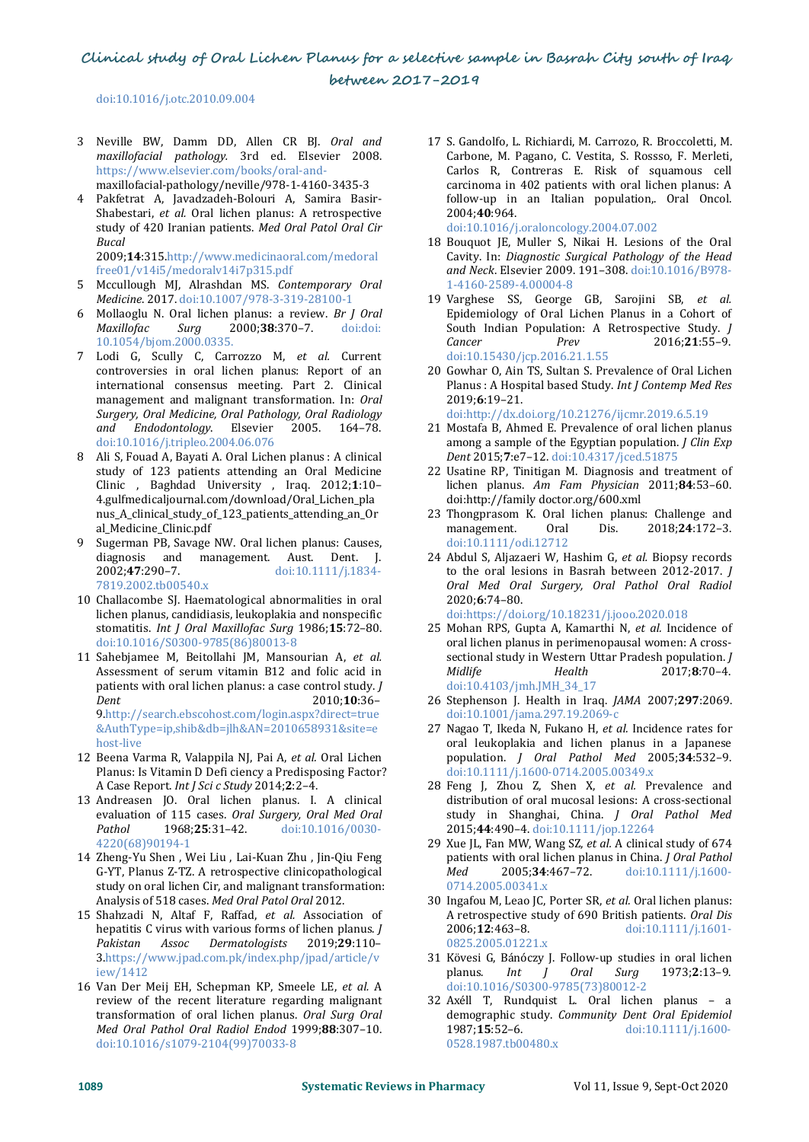doi:10.1016/j.otc.2010.09.004

- <sup>3</sup> Neville BW, Damm DD, Allen CR BJ. *Oral and maxillofacial pathology.* 3rd ed. Elsevier 2008. https://www.elsevier.com/books/oral-and maxillofacial-pathology/neville/978-1-4160-3435-3
- 4 Pakfetrat A, Javadzadeh-Bolouri A, Samira Basir- Shabestari, *et al.* Oral lichen planus: A retrospective study of <sup>420</sup> Iranian patients. *Med Oral Patol Oral Cir Bucal*

2009;**14**:315.http://www.medicinaoral.com/medoral free01/v14i5/medoralv14i7p315.pdf

- 5 Mccullough MJ, Alrashdan MS. *Contemporary Oral Medicine*. 2017. doi:10.1007/978-3-319-28100-1
- 6 Mollaoglu N. Oral lichen planus: a review. *Br J Oral Maxillofac Surg* 2000;**38**:370–7. doi:doi: 10.1054/bjom.2000.0335.
- 7 Lodi G, Scully C, Carrozzo M, *et al.* Current controversies in oral lichen planus: Report of an international consensus meeting. Part 2. Clinical management and malignant transformation. In: *Oral Surgery, Oral Medicine, Oral Pathology, Oral Radiology and Endodontology*. Elsevier 2005.164–78. doi:10.1016/j.tripleo.2004.06.076
- 8 Ali S, Fouad A, Bayati A. Oral Lichen planus : A clinical study of 123 patients attending an Oral Medicine Clinic , Baghdad University , Iraq. 2012;**1**:10– 4.gulfmedicaljournal.com/download/Oral\_Lichen\_pla nus\_A\_clinical\_study\_of\_123\_patients\_attending\_an\_Or <br>al\_Medicine\_Clinic.pdf management. al\_Medicine\_Clinic.pdf
- 9 Sugerman PB, Savage NW. Oral lichen planus: Causes, diagnosis and management. Aust. Dent. J.<br>2002;47:290-7. doi:10.1111/j.1834-2002;**47**:290–7. doi:10.1111/j.1834- 7819.2002.tb00540.x
- 10 Challacombe SJ. Haematological abnormalities in oral lichen planus, candidiasis, leukoplakia and nonspecific stomatitis. *Int J Oral Maxillofac Surg* 1986;**15**:72–80. doi:10.1016/S0300-9785(86)80013-8
- 11 Sahebjamee M, Beitollahi JM, Mansourian A, *et al.* Assessment of serum vitamin B12 and folic acid in patients with oral lichen planus: a case control study. *J* Dent 2010;10:36-9.http://search.ebscohost.com/login.aspx?direct=true &AuthType=ip,shib&db=jlh&AN=2010658931&site=e host-live
- 12 Beena Varma R, Valappila NJ, Pai A, *et al.* Oral Lichen Planus: Is Vitamin D Defi ciency a Predisposing Factor? A Case Report. *Int J Sci c Study* 2014;**2**:2–4.
- 13 Andreasen JO. Oral lichen planus. I. A clinical evaluation of 115 cases. *Oral Surgery, Oral Med Oral Pathol* 1968;**25**:31–42. doi:10.1016/0030- 4220(68)90194-1
- 14 Zheng-Yu Shen , Wei Liu , Lai-Kuan Zhu , Jin-Qiu Feng pational C-YT Planus Z-TZ. A retrospective cliniconathological Med G-YT, Planus Z-TZ. A retrospective clinicopathological study on oral lichen Cir, and malignant transformation: Analysis of 518 cases. *Med Oral Patol Oral* 2012.
- 15 Shahzadi N, Altaf F, Raffad, *et al.* Association of A retrospective hepatitis C virus with various forms of lichen planus. *I* 2006:12:463-8. hepatitis C virus with various forms of lichen planus. *J*<br>Pakistan Assoc Dermatologists 2019:29:110-*Pakistan Assoc Dermatologists* 2019;**29**:110– 3.https://www.jpad.com.pk/index.php/jpad/article/v 31 Kövesi G<br>iew/1412 planus. iew/1412
- 16 Van Der Meij EH, Schepman KP, Smeele LE, *et al.* A review of the recent literature regarding malignant transformation of oral lichen planus. *Oral Surg Oral* demographic s<br> *Med Oral Pathol Oral Radiol Endod* 1999;88:307-10. 1987;15:52-6. *Med Oral Pathol Oral Radiol Endod* 1999;**88**:307–10. doi:10.1016/s1079-2104(99)70033-8
- 17 S. Gandolfo, L.Richiardi, M. Carrozo, R. Broccoletti, M. Carbone, M. Pagano, C. Vestita, S. Rossso, F. Merleti, Carlos R, Contreras E. Risk of squamous cell carcinoma in 402 patients with oral lichen planus: A follow-up in an Italian population,. Oral Oncol. 2004;**40**:964. doi:10.1016/j.oraloncology.2004.07.002
- 18 Bouquot JE, Muller S, Nikai H. Lesions of the Oral Cavity. In: Diagnostic Surgical Pathology of the Head Cavity. In: *Diagnostic Surgical Pathology of the Head and Neck*. Elsevier 2009. 191–308. doi:10.1016/B978- 1-4160-2589-4.00004-8
- 19 Varghese SS, George GB, Sarojini SB, *et al.* Epidemiology of Oral Lichen Planus in a Cohort of South Indian Population: A Retrospective Study. *J Cancer Prev* 2016;**21**:55–9. doi:10.15430/jcp.2016.21.1.55
- 20 Gowhar O, Ain TS, Sultan S. Prevalence of Oral Lichen Planus : A Hospital based Study. *Int JContemp Med Res* 2019;**6**:19–21.
	- doi:http://dx.doi.org/10.21276/ijcmr.2019.6.5.19
- 21 Mostafa B, Ahmed E. Prevalence of oral lichen planus among a sample of the Egyptian population. *J Clin Exp Dent* 2015;**7**:e7–12. doi:10.4317/jced.51875
- 22 Usatine RP, Tinitigan M. Diagnosis and treatment of lichen planus. *Am Fam Physician* 2011;**84**:53–60. doi:http://family doctor.org/600.xml
- 23 Thongprasom K. Oral lichen planus: Challenge and<br>management. Oral Dis. 2018;24:172-3. management. Oral Dis. 2018;**24**:172–3. doi:10.1111/odi.12712
- 24 Abdul S, Aljazaeri W, Hashim G, *et al.* Biopsy records to the oral lesions in Basrah between 2012-2017. *J Oral Med Oral Surgery, Oral Pathol Oral Radiol* 2020;**6**:74–80. doi:https://doi.org/10.18231/j.jooo.2020.018
- 25 Mohan RPS, Gupta A, Kamarthi N, *et al.* Incidence of oral lichen planus in perimenopausal women: A cross sectional study in Western Uttar Pradesh population. *J Midlife Health* 2017;**8**:70–4. doi:10.4103/jmh.JMH\_34\_17
- *Dent* 2010;**10**:36– 26 Stephenson J. Health in Iraq. *JAMA* 2007;**297**:2069. doi:10.1001/jama.297.19.2069-c
	- 27 Nagao T, Ikeda N, Fukano H, *et al.* Incidence rates for oral leukoplakia and lichen planus in a Japanese population. *J Oral Pathol Med* 2005;**34**:532–9. doi:10.1111/j.1600-0714.2005.00349.x
	- 28 Feng J, Zhou Z, Shen X, *et al.* Prevalence and distribution of oral mucosal lesions: A cross-sectional study in Shanghai, China. *J Oral Pathol Med* 2015;**44**:490–4. doi:10.1111/jop.12264
	- 29 Xue JL, Fan MW,Wang SZ, *et al.* A clinical study of 674 patients with oral lichen planus in China. *J Oral Pathol*<br> *Med* 2005;34:467-72. doi:10.1111/j.1600-*Med* 2005;**34**:467–72. doi:10.1111/j.1600- 0714.2005.00341.x
	- 30 Ingafou M, Leao JC, Porter SR, *et al.* Oral lichen planus: A retrospective study of 690 British patients. *Oral Dis* 2006;**12**:463–8. doi:10.1111/j.1601- 0825.2005.01221.x
	- 31 Kövesi G, Bánóczy J. Follow-up studies in oral lichen planus. *Int J Oral Surg* 1973;**2**:13–9. doi:10.1016/S0300-9785(73)80012-2
	- 32 Axéll T, Rundquist L. Oral lichen planus a demographic study. *Community Dent Oral Epidemiol* doi:10.1111/j.1600-0528.1987.tb00480.x